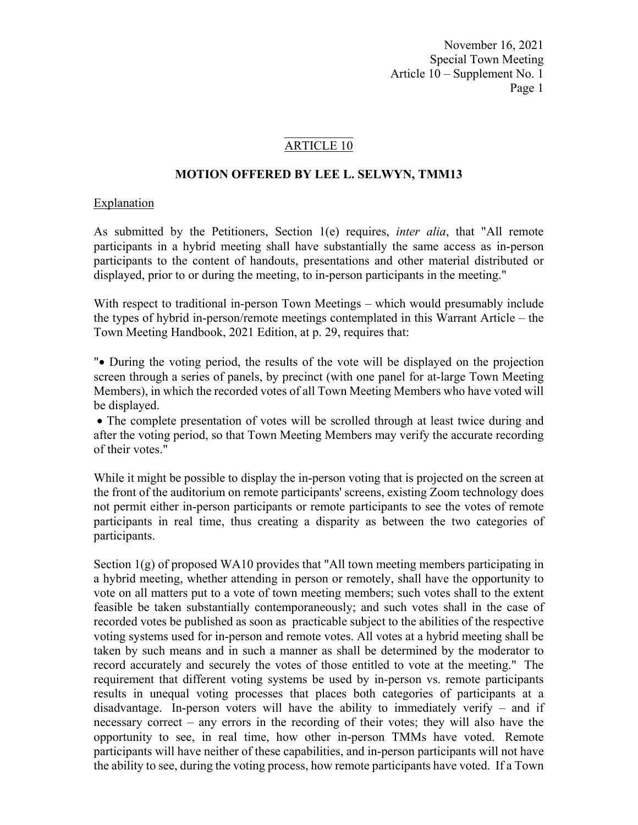### ARTICLE 10

### **MOTION OFFERED BY LEE L. SELWYN, TMM13**

### Explanation

As submitted by the Petitioners, Section 1(e) requires, *inter alia*, that "All remote participants in a hybrid meeting shall have substantially the same access as in-person participants to the content of handouts, presentations and other material distributed or displayed, prior to or during the meeting, to in-person participants in the meeting."

With respect to traditional in-person Town Meetings – which would presumably include the types of hybrid in-person/remote meetings contemplated in this Warrant Article – the Town Meeting Handbook, 2021 Edition, at p. 29, requires that:

" During the voting period, the results of the vote will be displayed on the projection screen through a series of panels, by precinct (with one panel for at-large Town Meeting Members), in which the recorded votes of all Town Meeting Members who have voted will be displayed.

 The complete presentation of votes will be scrolled through at least twice during and after the voting period, so that Town Meeting Members may verify the accurate recording of their votes."

While it might be possible to display the in-person voting that is projected on the screen at the front of the auditorium on remote participants' screens, existing Zoom technology does not permit either in-person participants or remote participants to see the votes of remote participants in real time, thus creating a disparity as between the two categories of participants.

Section  $1(g)$  of proposed WA10 provides that "All town meeting members participating in a hybrid meeting, whether attending in person or remotely, shall have the opportunity to vote on all matters put to a vote of town meeting members; such votes shall to the extent feasible be taken substantially contemporaneously; and such votes shall in the case of recorded votes be published as soon as practicable subject to the abilities of the respective voting systems used for in-person and remote votes. All votes at a hybrid meeting shall be taken by such means and in such a manner as shall be determined by the moderator to record accurately and securely the votes of those entitled to vote at the meeting." The requirement that different voting systems be used by in-person vs. remote participants results in unequal voting processes that places both categories of participants at a disadvantage. In-person voters will have the ability to immediately verify – and if necessary correct – any errors in the recording of their votes; they will also have the opportunity to see, in real time, how other in-person TMMs have voted. Remote participants will have neither of these capabilities, and in-person participants will not have the ability to see, during the voting process, how remote participants have voted. If a Town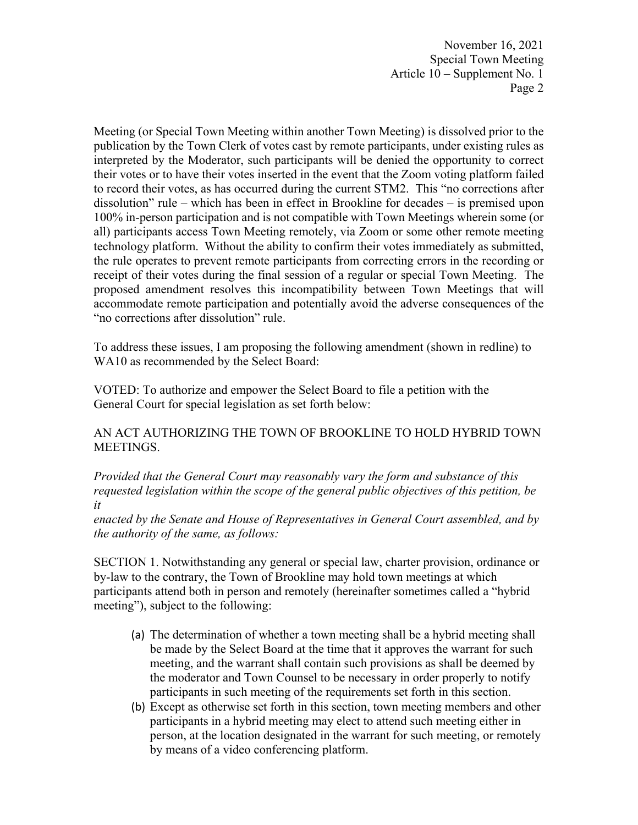Meeting (or Special Town Meeting within another Town Meeting) is dissolved prior to the publication by the Town Clerk of votes cast by remote participants, under existing rules as interpreted by the Moderator, such participants will be denied the opportunity to correct their votes or to have their votes inserted in the event that the Zoom voting platform failed to record their votes, as has occurred during the current STM2. This "no corrections after dissolution" rule – which has been in effect in Brookline for decades – is premised upon 100% in-person participation and is not compatible with Town Meetings wherein some (or all) participants access Town Meeting remotely, via Zoom or some other remote meeting technology platform. Without the ability to confirm their votes immediately as submitted, the rule operates to prevent remote participants from correcting errors in the recording or receipt of their votes during the final session of a regular or special Town Meeting. The proposed amendment resolves this incompatibility between Town Meetings that will accommodate remote participation and potentially avoid the adverse consequences of the "no corrections after dissolution" rule.

To address these issues, I am proposing the following amendment (shown in redline) to WA10 as recommended by the Select Board:

VOTED: To authorize and empower the Select Board to file a petition with the General Court for special legislation as set forth below:

AN ACT AUTHORIZING THE TOWN OF BROOKLINE TO HOLD HYBRID TOWN MEETINGS.

*Provided that the General Court may reasonably vary the form and substance of this requested legislation within the scope of the general public objectives of this petition, be it* 

*enacted by the Senate and House of Representatives in General Court assembled, and by the authority of the same, as follows:* 

SECTION 1. Notwithstanding any general or special law, charter provision, ordinance or by-law to the contrary, the Town of Brookline may hold town meetings at which participants attend both in person and remotely (hereinafter sometimes called a "hybrid meeting"), subject to the following:

- (a) The determination of whether a town meeting shall be a hybrid meeting shall be made by the Select Board at the time that it approves the warrant for such meeting, and the warrant shall contain such provisions as shall be deemed by the moderator and Town Counsel to be necessary in order properly to notify participants in such meeting of the requirements set forth in this section.
- (b) Except as otherwise set forth in this section, town meeting members and other participants in a hybrid meeting may elect to attend such meeting either in person, at the location designated in the warrant for such meeting, or remotely by means of a video conferencing platform.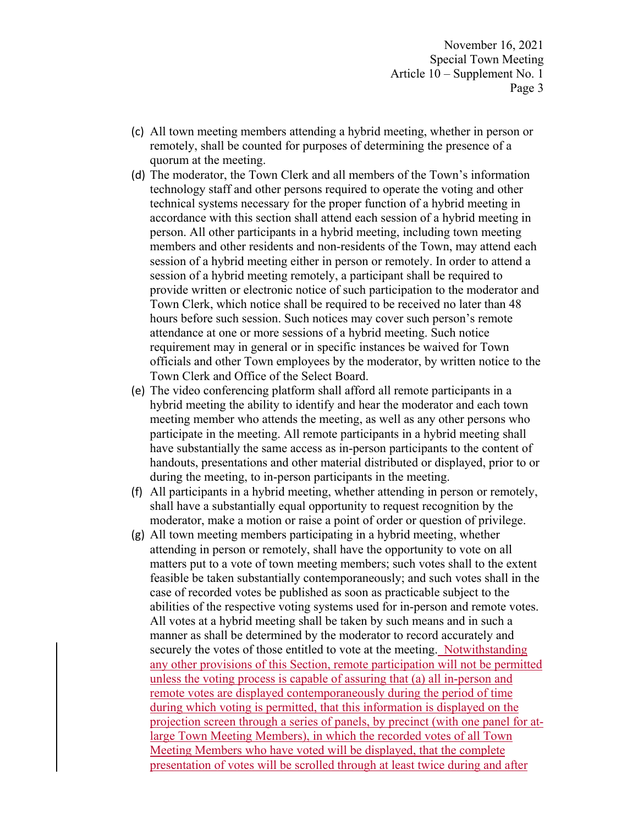- (c) All town meeting members attending a hybrid meeting, whether in person or remotely, shall be counted for purposes of determining the presence of a quorum at the meeting.
- (d) The moderator, the Town Clerk and all members of the Town's information technology staff and other persons required to operate the voting and other technical systems necessary for the proper function of a hybrid meeting in accordance with this section shall attend each session of a hybrid meeting in person. All other participants in a hybrid meeting, including town meeting members and other residents and non-residents of the Town, may attend each session of a hybrid meeting either in person or remotely. In order to attend a session of a hybrid meeting remotely, a participant shall be required to provide written or electronic notice of such participation to the moderator and Town Clerk, which notice shall be required to be received no later than 48 hours before such session. Such notices may cover such person's remote attendance at one or more sessions of a hybrid meeting. Such notice requirement may in general or in specific instances be waived for Town officials and other Town employees by the moderator, by written notice to the Town Clerk and Office of the Select Board.
- (e) The video conferencing platform shall afford all remote participants in a hybrid meeting the ability to identify and hear the moderator and each town meeting member who attends the meeting, as well as any other persons who participate in the meeting. All remote participants in a hybrid meeting shall have substantially the same access as in-person participants to the content of handouts, presentations and other material distributed or displayed, prior to or during the meeting, to in-person participants in the meeting.
- (f) All participants in a hybrid meeting, whether attending in person or remotely, shall have a substantially equal opportunity to request recognition by the moderator, make a motion or raise a point of order or question of privilege.
- (g) All town meeting members participating in a hybrid meeting, whether attending in person or remotely, shall have the opportunity to vote on all matters put to a vote of town meeting members; such votes shall to the extent feasible be taken substantially contemporaneously; and such votes shall in the case of recorded votes be published as soon as practicable subject to the abilities of the respective voting systems used for in-person and remote votes. All votes at a hybrid meeting shall be taken by such means and in such a manner as shall be determined by the moderator to record accurately and securely the votes of those entitled to vote at the meeting. Notwithstanding any other provisions of this Section, remote participation will not be permitted unless the voting process is capable of assuring that (a) all in-person and remote votes are displayed contemporaneously during the period of time during which voting is permitted, that this information is displayed on the projection screen through a series of panels, by precinct (with one panel for atlarge Town Meeting Members), in which the recorded votes of all Town Meeting Members who have voted will be displayed, that the complete presentation of votes will be scrolled through at least twice during and after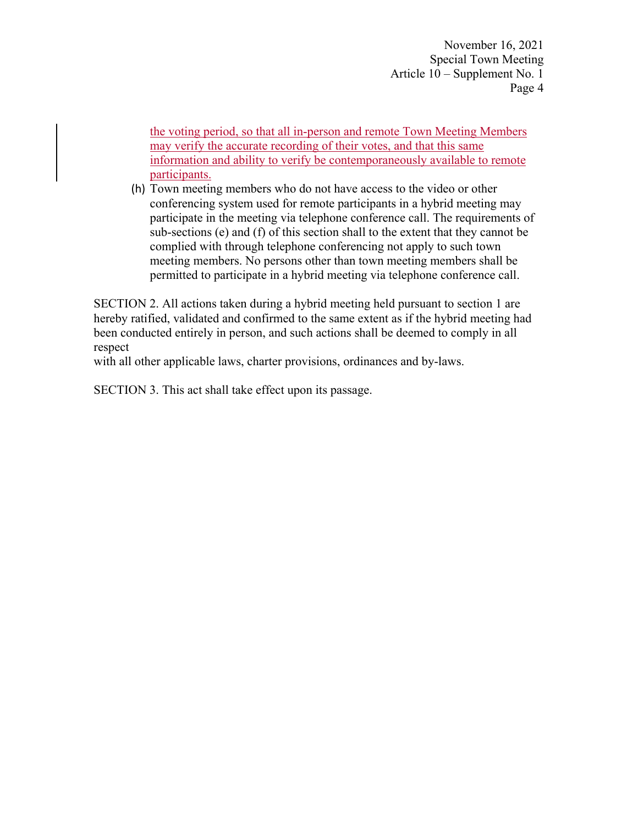the voting period, so that all in-person and remote Town Meeting Members may verify the accurate recording of their votes, and that this same information and ability to verify be contemporaneously available to remote participants.

(h) Town meeting members who do not have access to the video or other conferencing system used for remote participants in a hybrid meeting may participate in the meeting via telephone conference call. The requirements of sub-sections (e) and (f) of this section shall to the extent that they cannot be complied with through telephone conferencing not apply to such town meeting members. No persons other than town meeting members shall be permitted to participate in a hybrid meeting via telephone conference call.

SECTION 2. All actions taken during a hybrid meeting held pursuant to section 1 are hereby ratified, validated and confirmed to the same extent as if the hybrid meeting had been conducted entirely in person, and such actions shall be deemed to comply in all respect

with all other applicable laws, charter provisions, ordinances and by-laws.

SECTION 3. This act shall take effect upon its passage.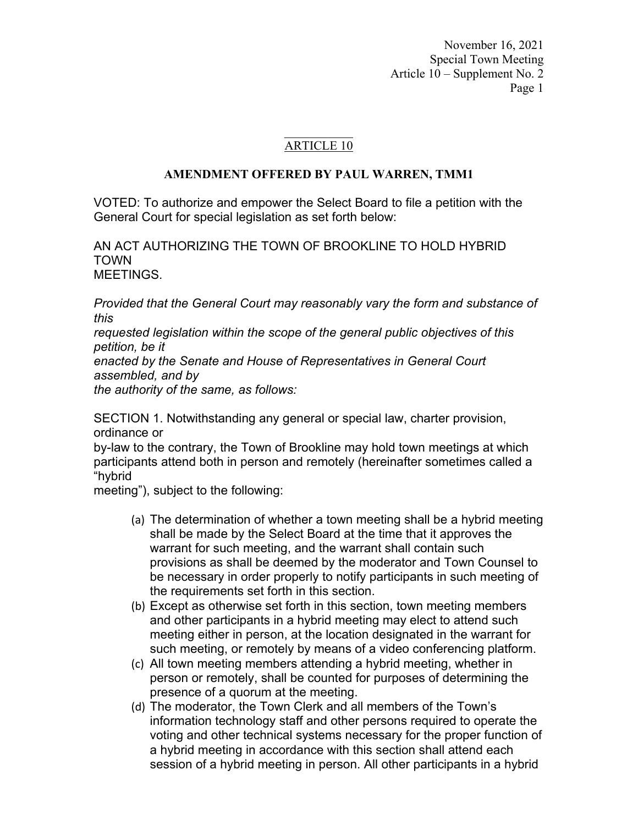## ARTICLE 10

## **AMENDMENT OFFERED BY PAUL WARREN, TMM1**

VOTED: To authorize and empower the Select Board to file a petition with the General Court for special legislation as set forth below:

AN ACT AUTHORIZING THE TOWN OF BROOKLINE TO HOLD HYBRID TOWN MEETINGS.

*Provided that the General Court may reasonably vary the form and substance of this* 

*requested legislation within the scope of the general public objectives of this petition, be it* 

*enacted by the Senate and House of Representatives in General Court assembled, and by* 

*the authority of the same, as follows:* 

SECTION 1. Notwithstanding any general or special law, charter provision, ordinance or

by-law to the contrary, the Town of Brookline may hold town meetings at which participants attend both in person and remotely (hereinafter sometimes called a "hybrid

meeting"), subject to the following:

- (a) The determination of whether a town meeting shall be a hybrid meeting shall be made by the Select Board at the time that it approves the warrant for such meeting, and the warrant shall contain such provisions as shall be deemed by the moderator and Town Counsel to be necessary in order properly to notify participants in such meeting of the requirements set forth in this section.
- (b) Except as otherwise set forth in this section, town meeting members and other participants in a hybrid meeting may elect to attend such meeting either in person, at the location designated in the warrant for such meeting, or remotely by means of a video conferencing platform.
- (c) All town meeting members attending a hybrid meeting, whether in person or remotely, shall be counted for purposes of determining the presence of a quorum at the meeting.
- (d) The moderator, the Town Clerk and all members of the Town's information technology staff and other persons required to operate the voting and other technical systems necessary for the proper function of a hybrid meeting in accordance with this section shall attend each session of a hybrid meeting in person. All other participants in a hybrid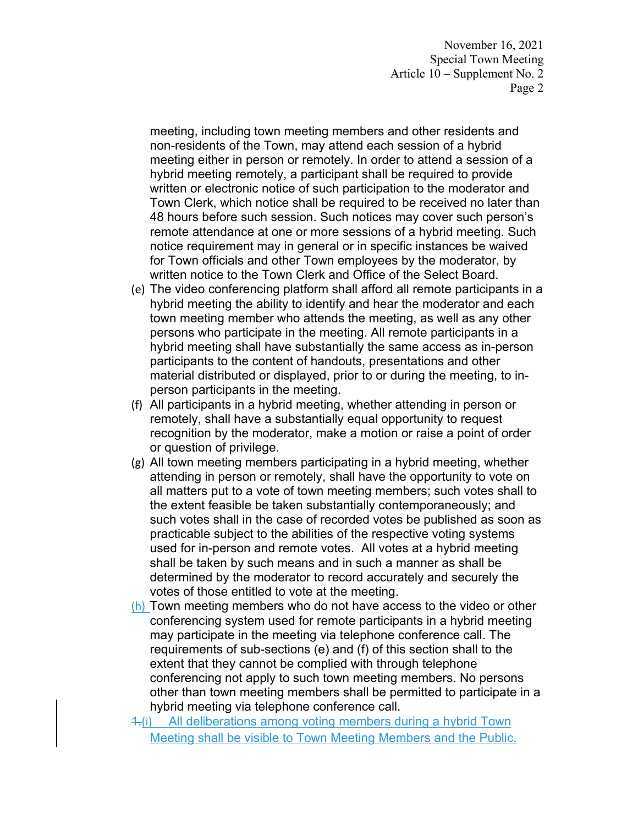meeting, including town meeting members and other residents and non-residents of the Town, may attend each session of a hybrid meeting either in person or remotely. In order to attend a session of a hybrid meeting remotely, a participant shall be required to provide written or electronic notice of such participation to the moderator and Town Clerk, which notice shall be required to be received no later than 48 hours before such session. Such notices may cover such person's remote attendance at one or more sessions of a hybrid meeting. Such notice requirement may in general or in specific instances be waived for Town officials and other Town employees by the moderator, by written notice to the Town Clerk and Office of the Select Board.

- (e) The video conferencing platform shall afford all remote participants in a hybrid meeting the ability to identify and hear the moderator and each town meeting member who attends the meeting, as well as any other persons who participate in the meeting. All remote participants in a hybrid meeting shall have substantially the same access as in-person participants to the content of handouts, presentations and other material distributed or displayed, prior to or during the meeting, to inperson participants in the meeting.
- (f) All participants in a hybrid meeting, whether attending in person or remotely, shall have a substantially equal opportunity to request recognition by the moderator, make a motion or raise a point of order or question of privilege.
- (g) All town meeting members participating in a hybrid meeting, whether attending in person or remotely, shall have the opportunity to vote on all matters put to a vote of town meeting members; such votes shall to the extent feasible be taken substantially contemporaneously; and such votes shall in the case of recorded votes be published as soon as practicable subject to the abilities of the respective voting systems used for in-person and remote votes. All votes at a hybrid meeting shall be taken by such means and in such a manner as shall be determined by the moderator to record accurately and securely the votes of those entitled to vote at the meeting.
- (h) Town meeting members who do not have access to the video or other conferencing system used for remote participants in a hybrid meeting may participate in the meeting via telephone conference call. The requirements of sub-sections (e) and (f) of this section shall to the extent that they cannot be complied with through telephone conferencing not apply to such town meeting members. No persons other than town meeting members shall be permitted to participate in a hybrid meeting via telephone conference call.
- 1.(i) All deliberations among voting members during a hybrid Town Meeting shall be visible to Town Meeting Members and the Public.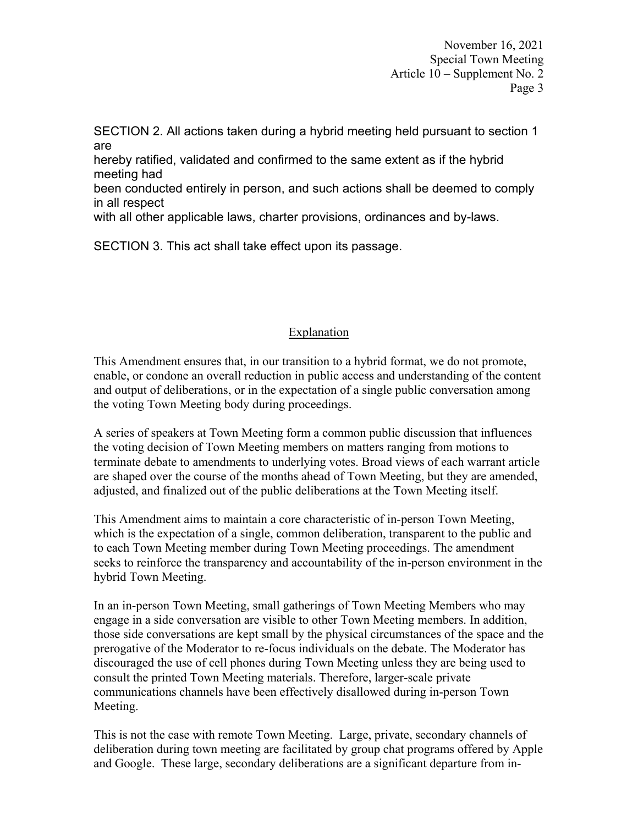SECTION 2. All actions taken during a hybrid meeting held pursuant to section 1 are

hereby ratified, validated and confirmed to the same extent as if the hybrid meeting had

been conducted entirely in person, and such actions shall be deemed to comply in all respect

with all other applicable laws, charter provisions, ordinances and by-laws.

SECTION 3. This act shall take effect upon its passage.

## Explanation

This Amendment ensures that, in our transition to a hybrid format, we do not promote, enable, or condone an overall reduction in public access and understanding of the content and output of deliberations, or in the expectation of a single public conversation among the voting Town Meeting body during proceedings.

A series of speakers at Town Meeting form a common public discussion that influences the voting decision of Town Meeting members on matters ranging from motions to terminate debate to amendments to underlying votes. Broad views of each warrant article are shaped over the course of the months ahead of Town Meeting, but they are amended, adjusted, and finalized out of the public deliberations at the Town Meeting itself.

This Amendment aims to maintain a core characteristic of in-person Town Meeting, which is the expectation of a single, common deliberation, transparent to the public and to each Town Meeting member during Town Meeting proceedings. The amendment seeks to reinforce the transparency and accountability of the in-person environment in the hybrid Town Meeting.

In an in-person Town Meeting, small gatherings of Town Meeting Members who may engage in a side conversation are visible to other Town Meeting members. In addition, those side conversations are kept small by the physical circumstances of the space and the prerogative of the Moderator to re-focus individuals on the debate. The Moderator has discouraged the use of cell phones during Town Meeting unless they are being used to consult the printed Town Meeting materials. Therefore, larger-scale private communications channels have been effectively disallowed during in-person Town Meeting.

This is not the case with remote Town Meeting. Large, private, secondary channels of deliberation during town meeting are facilitated by group chat programs offered by Apple and Google. These large, secondary deliberations are a significant departure from in-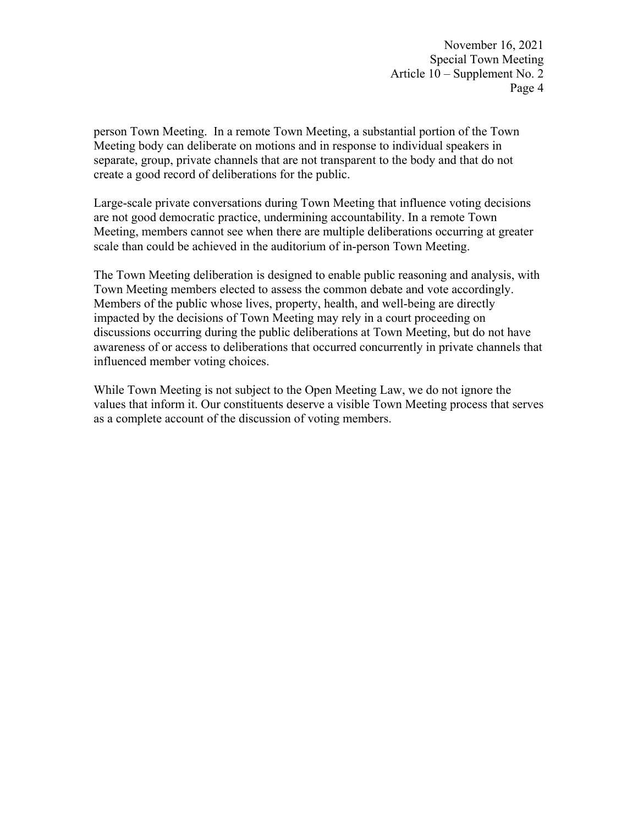person Town Meeting. In a remote Town Meeting, a substantial portion of the Town Meeting body can deliberate on motions and in response to individual speakers in separate, group, private channels that are not transparent to the body and that do not create a good record of deliberations for the public.

Large-scale private conversations during Town Meeting that influence voting decisions are not good democratic practice, undermining accountability. In a remote Town Meeting, members cannot see when there are multiple deliberations occurring at greater scale than could be achieved in the auditorium of in-person Town Meeting.

The Town Meeting deliberation is designed to enable public reasoning and analysis, with Town Meeting members elected to assess the common debate and vote accordingly. Members of the public whose lives, property, health, and well-being are directly impacted by the decisions of Town Meeting may rely in a court proceeding on discussions occurring during the public deliberations at Town Meeting, but do not have awareness of or access to deliberations that occurred concurrently in private channels that influenced member voting choices.

While Town Meeting is not subject to the Open Meeting Law, we do not ignore the values that inform it. Our constituents deserve a visible Town Meeting process that serves as a complete account of the discussion of voting members.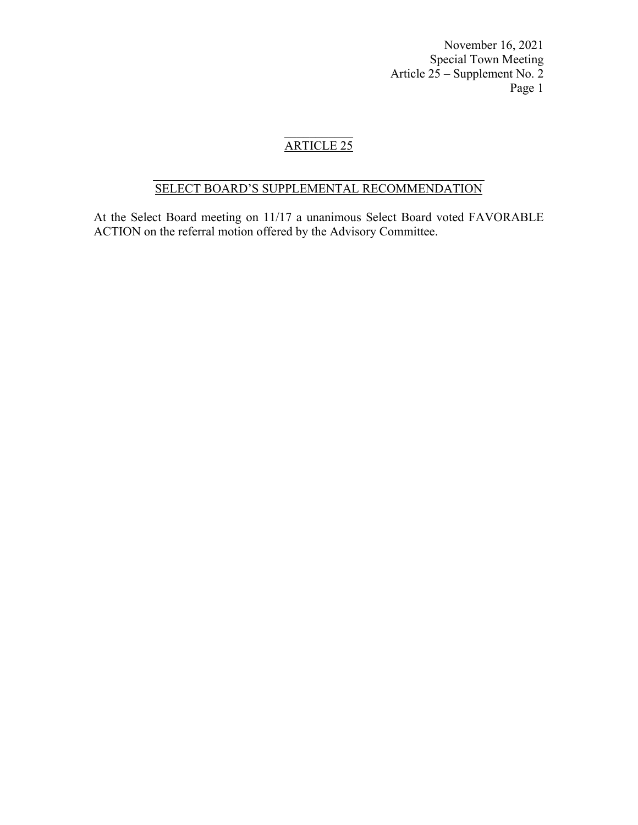# ARTICLE 25

### $\frac{1}{2}$  ,  $\frac{1}{2}$  ,  $\frac{1}{2}$  ,  $\frac{1}{2}$  ,  $\frac{1}{2}$  ,  $\frac{1}{2}$  ,  $\frac{1}{2}$  ,  $\frac{1}{2}$  ,  $\frac{1}{2}$  ,  $\frac{1}{2}$  ,  $\frac{1}{2}$  ,  $\frac{1}{2}$  ,  $\frac{1}{2}$  ,  $\frac{1}{2}$  ,  $\frac{1}{2}$  ,  $\frac{1}{2}$  ,  $\frac{1}{2}$  ,  $\frac{1}{2}$  ,  $\frac{1$ SELECT BOARD'S SUPPLEMENTAL RECOMMENDATION

At the Select Board meeting on 11/17 a unanimous Select Board voted FAVORABLE ACTION on the referral motion offered by the Advisory Committee.